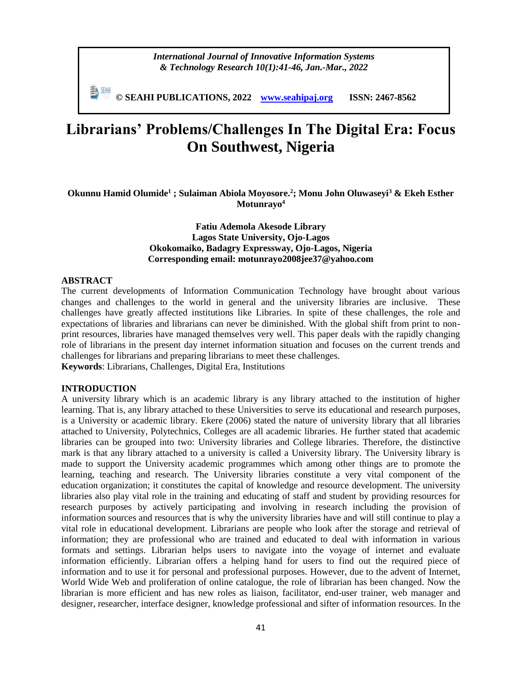**© SEAHI PUBLICATIONS, 2022 [www.seahipaj.org](http://www.seahipaj.org/) ISSN: 2467-8562**

# **Librarians' Problems/Challenges In The Digital Era: Focus On Southwest, Nigeria**

**Okunnu Hamid Olumide<sup>1</sup> ; Sulaiman Abiola Moyosore. 2 ; Monu John Oluwaseyi<sup>3</sup> & Ekeh Esther Motunrayo<sup>4</sup>**

> **Fatiu Ademola Akesode Library Lagos State University, Ojo-Lagos Okokomaiko, Badagry Expressway, Ojo-Lagos, Nigeria Corresponding email: motunrayo2008jee37@yahoo.com**

## **ABSTRACT**

The current developments of Information Communication Technology have brought about various changes and challenges to the world in general and the university libraries are inclusive. These challenges have greatly affected institutions like Libraries. In spite of these challenges, the role and expectations of libraries and librarians can never be diminished. With the global shift from print to nonprint resources, libraries have managed themselves very well. This paper deals with the rapidly changing role of librarians in the present day internet information situation and focuses on the current trends and challenges for librarians and preparing librarians to meet these challenges.

**Keywords**: Librarians, Challenges, Digital Era, Institutions

## **INTRODUCTION**

A university library which is an academic library is any library attached to the institution of higher learning. That is, any library attached to these Universities to serve its educational and research purposes, is a University or academic library. Ekere (2006) stated the nature of university library that all libraries attached to University, Polytechnics, Colleges are all academic libraries. He further stated that academic libraries can be grouped into two: University libraries and College libraries. Therefore, the distinctive mark is that any library attached to a university is called a University library. The University library is made to support the University academic programmes which among other things are to promote the learning, teaching and research. The University libraries constitute a very vital component of the education organization; it constitutes the capital of knowledge and resource development. The university libraries also play vital role in the training and educating of staff and student by providing resources for research purposes by actively participating and involving in research including the provision of information sources and resources that is why the university libraries have and will still continue to play a vital role in educational development. Librarians are people who look after the storage and retrieval of information; they are professional who are trained and educated to deal with information in various formats and settings. Librarian helps users to navigate into the voyage of internet and evaluate information efficiently. Librarian offers a helping hand for users to find out the required piece of information and to use it for personal and professional purposes. However, due to the advent of Internet, World Wide Web and proliferation of online catalogue, the role of librarian has been changed. Now the librarian is more efficient and has new roles as liaison, facilitator, end-user trainer, web manager and designer, researcher, interface designer, knowledge professional and sifter of information resources. In the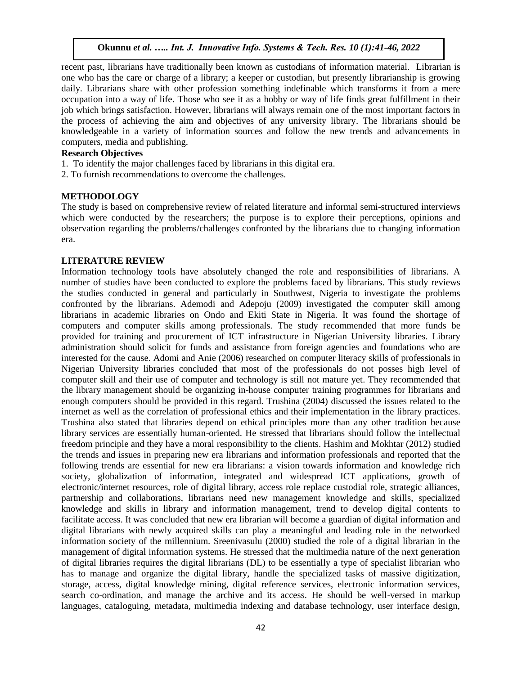recent past, librarians have traditionally been known as custodians of information material. Librarian is one who has the care or charge of a library; a keeper or custodian, but presently librarianship is growing daily. Librarians share with other profession something indefinable which transforms it from a mere occupation into a way of life. Those who see it as a hobby or way of life finds great fulfillment in their job which brings satisfaction. However, librarians will always remain one of the most important factors in the process of achieving the aim and objectives of any university library. The librarians should be knowledgeable in a variety of information sources and follow the new trends and advancements in computers, media and publishing.

# **Research Objectives**

- 1. To identify the major challenges faced by librarians in this digital era.
- 2. To furnish recommendations to overcome the challenges.

# **METHODOLOGY**

The study is based on comprehensive review of related literature and informal semi-structured interviews which were conducted by the researchers; the purpose is to explore their perceptions, opinions and observation regarding the problems/challenges confronted by the librarians due to changing information era.

## **LITERATURE REVIEW**

Information technology tools have absolutely changed the role and responsibilities of librarians. A number of studies have been conducted to explore the problems faced by librarians. This study reviews the studies conducted in general and particularly in Southwest, Nigeria to investigate the problems confronted by the librarians. Ademodi and Adepoju (2009) investigated the computer skill among librarians in academic libraries on Ondo and Ekiti State in Nigeria. It was found the shortage of computers and computer skills among professionals. The study recommended that more funds be provided for training and procurement of ICT infrastructure in Nigerian University libraries. Library administration should solicit for funds and assistance from foreign agencies and foundations who are interested for the cause. Adomi and Anie (2006) researched on computer literacy skills of professionals in Nigerian University libraries concluded that most of the professionals do not posses high level of computer skill and their use of computer and technology is still not mature yet. They recommended that the library management should be organizing in-house computer training programmes for librarians and enough computers should be provided in this regard. Trushina (2004) discussed the issues related to the internet as well as the correlation of professional ethics and their implementation in the library practices. Trushina also stated that libraries depend on ethical principles more than any other tradition because library services are essentially human-oriented. He stressed that librarians should follow the intellectual freedom principle and they have a moral responsibility to the clients. Hashim and Mokhtar (2012) studied the trends and issues in preparing new era librarians and information professionals and reported that the following trends are essential for new era librarians: a vision towards information and knowledge rich society, globalization of information, integrated and widespread ICT applications, growth of electronic/internet resources, role of digital library, access role replace custodial role, strategic alliances, partnership and collaborations, librarians need new management knowledge and skills, specialized knowledge and skills in library and information management, trend to develop digital contents to facilitate access. It was concluded that new era librarian will become a guardian of digital information and digital librarians with newly acquired skills can play a meaningful and leading role in the networked information society of the millennium. Sreenivasulu (2000) studied the role of a digital librarian in the management of digital information systems. He stressed that the multimedia nature of the next generation of digital libraries requires the digital librarians (DL) to be essentially a type of specialist librarian who has to manage and organize the digital library, handle the specialized tasks of massive digitization, storage, access, digital knowledge mining, digital reference services, electronic information services, search co-ordination, and manage the archive and its access. He should be well-versed in markup languages, cataloguing, metadata, multimedia indexing and database technology, user interface design,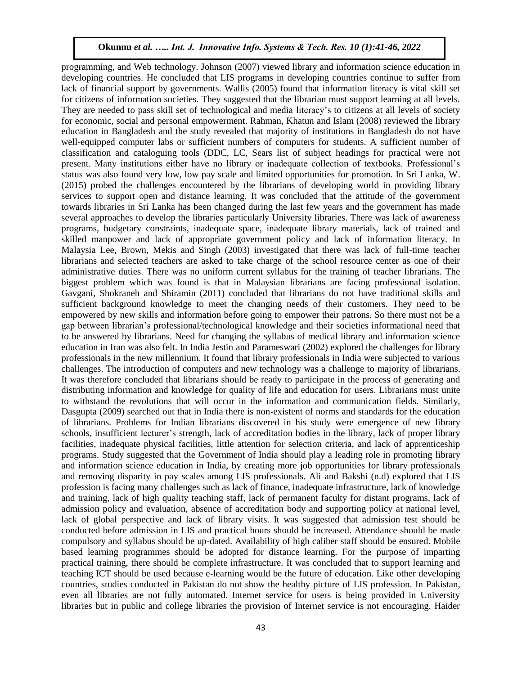programming, and Web technology. Johnson (2007) viewed library and information science education in developing countries. He concluded that LIS programs in developing countries continue to suffer from lack of financial support by governments. Wallis (2005) found that information literacy is vital skill set for citizens of information societies. They suggested that the librarian must support learning at all levels. They are needed to pass skill set of technological and media literacy's to citizens at all levels of society for economic, social and personal empowerment. Rahman, Khatun and Islam (2008) reviewed the library education in Bangladesh and the study revealed that majority of institutions in Bangladesh do not have well-equipped computer labs or sufficient numbers of computers for students. A sufficient number of classification and cataloguing tools (DDC, LC, Sears list of subject headings for practical were not present. Many institutions either have no library or inadequate collection of textbooks. Professional's status was also found very low, low pay scale and limited opportunities for promotion. In Sri Lanka, W. (2015) probed the challenges encountered by the librarians of developing world in providing library services to support open and distance learning. It was concluded that the attitude of the government towards libraries in Sri Lanka has been changed during the last few years and the government has made several approaches to develop the libraries particularly University libraries. There was lack of awareness programs, budgetary constraints, inadequate space, inadequate library materials, lack of trained and skilled manpower and lack of appropriate government policy and lack of information literacy. In Malaysia Lee, Brown, Mekis and Singh (2003) investigated that there was lack of full-time teacher librarians and selected teachers are asked to take charge of the school resource center as one of their administrative duties. There was no uniform current syllabus for the training of teacher librarians. The biggest problem which was found is that in Malaysian librarians are facing professional isolation. Gavgani, Shokraneh and Shiramin (2011) concluded that librarians do not have traditional skills and sufficient background knowledge to meet the changing needs of their customers. They need to be empowered by new skills and information before going to empower their patrons. So there must not be a gap between librarian's professional/technological knowledge and their societies informational need that to be answered by librarians. Need for changing the syllabus of medical library and information science education in Iran was also felt. In India Jestin and Parameswari (2002) explored the challenges for library professionals in the new millennium. It found that library professionals in India were subjected to various challenges. The introduction of computers and new technology was a challenge to majority of librarians. It was therefore concluded that librarians should be ready to participate in the process of generating and distributing information and knowledge for quality of life and education for users. Librarians must unite to withstand the revolutions that will occur in the information and communication fields. Similarly, Dasgupta (2009) searched out that in India there is non-existent of norms and standards for the education of librarians. Problems for Indian librarians discovered in his study were emergence of new library schools, insufficient lecturer's strength, lack of accreditation bodies in the library, lack of proper library facilities, inadequate physical facilities, little attention for selection criteria, and lack of apprenticeship programs. Study suggested that the Government of India should play a leading role in promoting library and information science education in India, by creating more job opportunities for library professionals and removing disparity in pay scales among LIS professionals. Ali and Bakshi (n.d) explored that LIS profession is facing many challenges such as lack of finance, inadequate infrastructure, lack of knowledge and training, lack of high quality teaching staff, lack of permanent faculty for distant programs, lack of admission policy and evaluation, absence of accreditation body and supporting policy at national level, lack of global perspective and lack of library visits. It was suggested that admission test should be conducted before admission in LIS and practical hours should be increased. Attendance should be made compulsory and syllabus should be up-dated. Availability of high caliber staff should be ensured. Mobile based learning programmes should be adopted for distance learning. For the purpose of imparting practical training, there should be complete infrastructure. It was concluded that to support learning and teaching ICT should be used because e-learning would be the future of education. Like other developing countries, studies conducted in Pakistan do not show the healthy picture of LIS profession. In Pakistan, even all libraries are not fully automated. Internet service for users is being provided in University libraries but in public and college libraries the provision of Internet service is not encouraging. Haider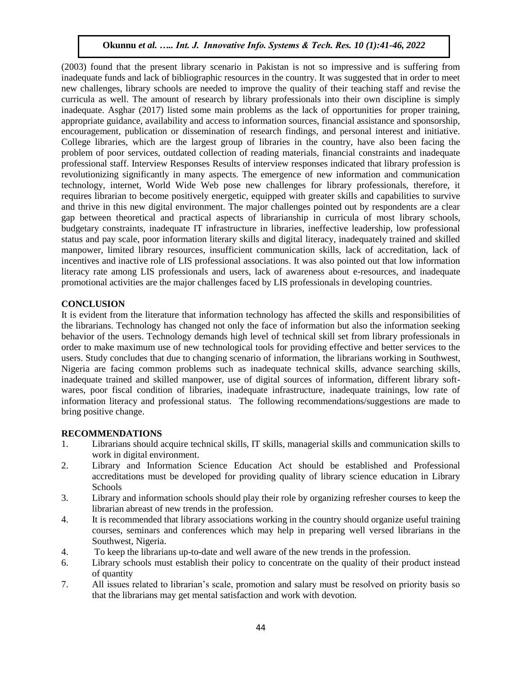(2003) found that the present library scenario in Pakistan is not so impressive and is suffering from inadequate funds and lack of bibliographic resources in the country. It was suggested that in order to meet new challenges, library schools are needed to improve the quality of their teaching staff and revise the curricula as well. The amount of research by library professionals into their own discipline is simply inadequate. Asghar (2017) listed some main problems as the lack of opportunities for proper training, appropriate guidance, availability and access to information sources, financial assistance and sponsorship, encouragement, publication or dissemination of research findings, and personal interest and initiative. College libraries, which are the largest group of libraries in the country, have also been facing the problem of poor services, outdated collection of reading materials, financial constraints and inadequate professional staff. Interview Responses Results of interview responses indicated that library profession is revolutionizing significantly in many aspects. The emergence of new information and communication technology, internet, World Wide Web pose new challenges for library professionals, therefore, it requires librarian to become positively energetic, equipped with greater skills and capabilities to survive and thrive in this new digital environment. The major challenges pointed out by respondents are a clear gap between theoretical and practical aspects of librarianship in curricula of most library schools, budgetary constraints, inadequate IT infrastructure in libraries, ineffective leadership, low professional status and pay scale, poor information literary skills and digital literacy, inadequately trained and skilled manpower, limited library resources, insufficient communication skills, lack of accreditation, lack of incentives and inactive role of LIS professional associations. It was also pointed out that low information literacy rate among LIS professionals and users, lack of awareness about e-resources, and inadequate promotional activities are the major challenges faced by LIS professionals in developing countries.

# **CONCLUSION**

It is evident from the literature that information technology has affected the skills and responsibilities of the librarians. Technology has changed not only the face of information but also the information seeking behavior of the users. Technology demands high level of technical skill set from library professionals in order to make maximum use of new technological tools for providing effective and better services to the users. Study concludes that due to changing scenario of information, the librarians working in Southwest, Nigeria are facing common problems such as inadequate technical skills, advance searching skills, inadequate trained and skilled manpower, use of digital sources of information, different library softwares, poor fiscal condition of libraries, inadequate infrastructure, inadequate trainings, low rate of information literacy and professional status. The following recommendations/suggestions are made to bring positive change.

# **RECOMMENDATIONS**

- 1. Librarians should acquire technical skills, IT skills, managerial skills and communication skills to work in digital environment.
- 2. Library and Information Science Education Act should be established and Professional accreditations must be developed for providing quality of library science education in Library Schools
- 3. Library and information schools should play their role by organizing refresher courses to keep the librarian abreast of new trends in the profession.
- 4. It is recommended that library associations working in the country should organize useful training courses, seminars and conferences which may help in preparing well versed librarians in the Southwest, Nigeria.
- 4. To keep the librarians up-to-date and well aware of the new trends in the profession.
- 6. Library schools must establish their policy to concentrate on the quality of their product instead of quantity
- 7. All issues related to librarian's scale, promotion and salary must be resolved on priority basis so that the librarians may get mental satisfaction and work with devotion.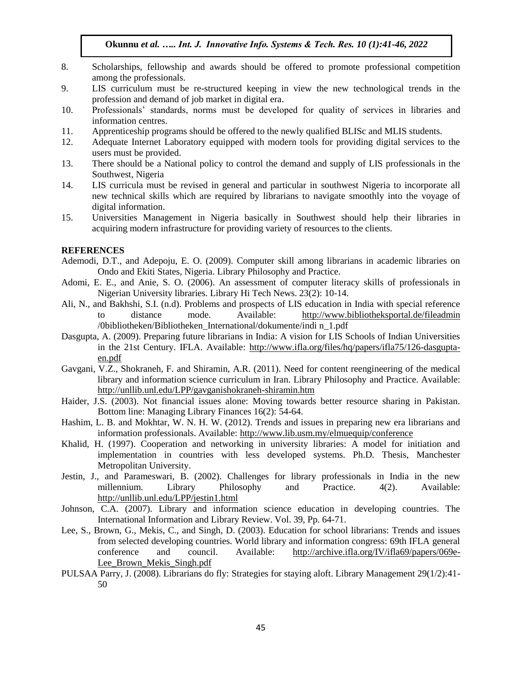- 8. Scholarships, fellowship and awards should be offered to promote professional competition among the professionals.
- 9. LIS curriculum must be re-structured keeping in view the new technological trends in the profession and demand of job market in digital era.
- 10. Professionals' standards, norms must be developed for quality of services in libraries and information centres.
- 11. Apprenticeship programs should be offered to the newly qualified BLISc and MLIS students.
- 12. Adequate Internet Laboratory equipped with modern tools for providing digital services to the users must be provided.
- 13. There should be a National policy to control the demand and supply of LIS professionals in the Southwest, Nigeria
- 14. LIS curricula must be revised in general and particular in southwest Nigeria to incorporate all new technical skills which are required by librarians to navigate smoothly into the voyage of digital information.
- 15. Universities Management in Nigeria basically in Southwest should help their libraries in acquiring modern infrastructure for providing variety of resources to the clients.

#### **REFERENCES**

- Ademodi, D.T., and Adepoju, E. O. (2009). Computer skill among librarians in academic libraries on Ondo and Ekiti States, Nigeria. Library Philosophy and Practice.
- Adomi, E. E., and Anie, S. O. (2006). An assessment of computer literacy skills of professionals in Nigerian University libraries. Library Hi Tech News. 23(2): 10-14.
- Ali, N., and Bakhshi, S.I. (n.d). Problems and prospects of LIS education in India with special reference to distance mode. Available: <http://www.bibliotheksportal.de/fileadmin> /0bibliotheken/Bibliotheken\_International/dokumente/indi n\_1.pdf
- Dasgupta, A. (2009). Preparing future librarians in India: A vision for LIS Schools of Indian Universities in the 21st Century. IFLA. Available: [http://www.ifla.org/files/hq/papers/ifla75/126-dasgupta](http://www.ifla.org/files/hq/papers/ifla75/126-dasgupta-en.pdf)[en.pdf](http://www.ifla.org/files/hq/papers/ifla75/126-dasgupta-en.pdf)
- Gavgani, V.Z., Shokraneh, F. and Shiramin, A.R. (2011). Need for content reengineering of the medical library and information science curriculum in Iran. Library Philosophy and Practice. Available: <http://unllib.unl.edu/LPP/gavganishokraneh-shiramin.htm>
- Haider, J.S. (2003). Not financial issues alone: Moving towards better resource sharing in Pakistan. Bottom line: Managing Library Finances 16(2): 54-64.
- Hashim, L. B. and Mokhtar, W. N. H. W. (2012). Trends and issues in preparing new era librarians and information professionals. Available:<http://www.lib.usm.my/elmuequip/conference>
- Khalid, H. (1997). Cooperation and networking in university libraries: A model for initiation and implementation in countries with less developed systems. Ph.D. Thesis, Manchester Metropolitan University.
- Jestin, J., and Parameswari, B. (2002). Challenges for library professionals in India in the new millennium. Library Philosophy and Practice. 4(2). Available: <http://unllib.unl.edu/LPP/jestin1.html>
- Johnson, C.A. (2007). Library and information science education in developing countries. The International Information and Library Review. Vol. 39, Pp. 64-71.
- Lee, S., Brown, G., Mekis, C., and Singh, D. (2003). Education for school librarians: Trends and issues from selected developing countries. World library and information congress: 69th IFLA general conference and council. Available: [http://archive.ifla.org/IV/ifla69/papers/069e-](http://archive.ifla.org/IV/ifla69/papers/069e-Lee_Brown_Mekis_Singh.pdf)Lee Brown Mekis Singh.pdf
- PULSAA Parry, J. (2008). Librarians do fly: Strategies for staying aloft. Library Management 29(1/2):41- 50